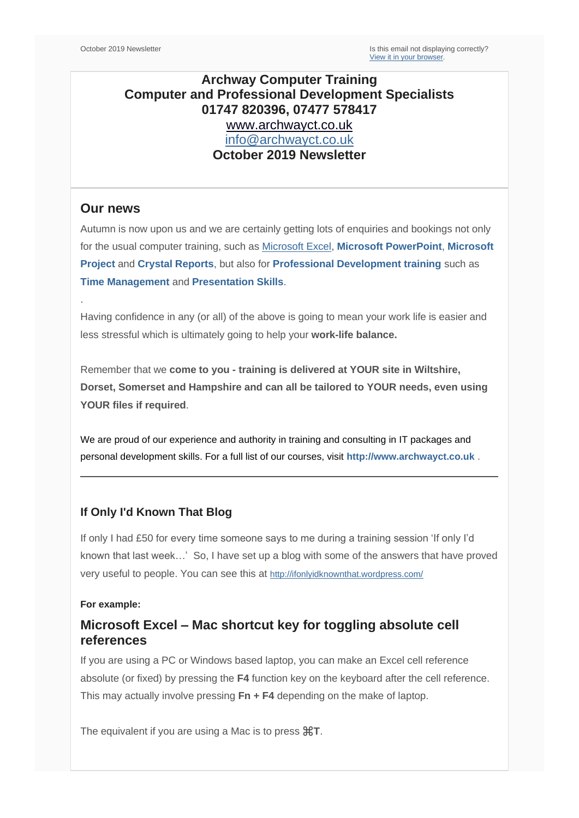# **Archway Computer Training Computer and Professional Development Specialists 01747 820396, 07477 578417** [www.archwayct.co.uk](http://www.archwayct.co.uk/) [info@archwayct.co.uk](mailto:%20info@archwayct.co.uk) **October 2019 Newsletter**

## **Our news**

.

Autumn is now upon us and we are certainly getting lots of enquiries and bookings not only for the usual computer training, such as [Microsoft Excel,](http://www.archwayct.co.uk/microsoft-office-training/microsoft-excel-training) **[Microsoft PowerPoint](http://www.archwayct.co.uk/microsoft-office-training/microsoft-powerpoint-training)**, **[Microsoft](http://www.jmdtraining.co.uk/it-training/microsoft-project-training)  [Project](http://www.jmdtraining.co.uk/it-training/microsoft-project-training)** and **[Crystal Reports](http://www.archwayct.co.uk/it-training/crystal-reports-training)**, but also for **[Professional Development training](http://www.archwayct.co.uk/professional-development-training)** such as **[Time Management](http://www.archwayct.co.uk/professional-development-training/time-managment-training)** and **[Presentation Skills](http://www.archwayct.co.uk/professional-development-training/presentation-skills-training)**.

Having confidence in any (or all) of the above is going to mean your work life is easier and less stressful which is ultimately going to help your **work-life balance.**

Remember that we **come to you - training is delivered at YOUR site in Wiltshire, Dorset, Somerset and Hampshire and can all be tailored to YOUR needs, even using YOUR files if required**.

We are proud of our experience and authority in training and consulting in IT packages and personal development skills. For a full list of our courses, visit **[http://www.archwayct.co.uk](http://www.archwayct.co.uk/)** .

### **If Only I'd Known That Blog**

If only I had £50 for every time someone says to me during a training session 'If only I'd known that last week…' So, I have set up a blog with some of the answers that have proved very useful to people. You can see this at <http://ifonlyidknownthat.wordpress.com/>

### **For example:**

# **Microsoft Excel – Mac shortcut key for toggling absolute cell references**

If you are using a PC or Windows based laptop, you can make an Excel cell reference absolute (or fixed) by pressing the **F4** function key on the keyboard after the cell reference. This may actually involve pressing **Fn + F4** depending on the make of laptop.

The equivalent if you are using a Mac is to press ⌘**T**.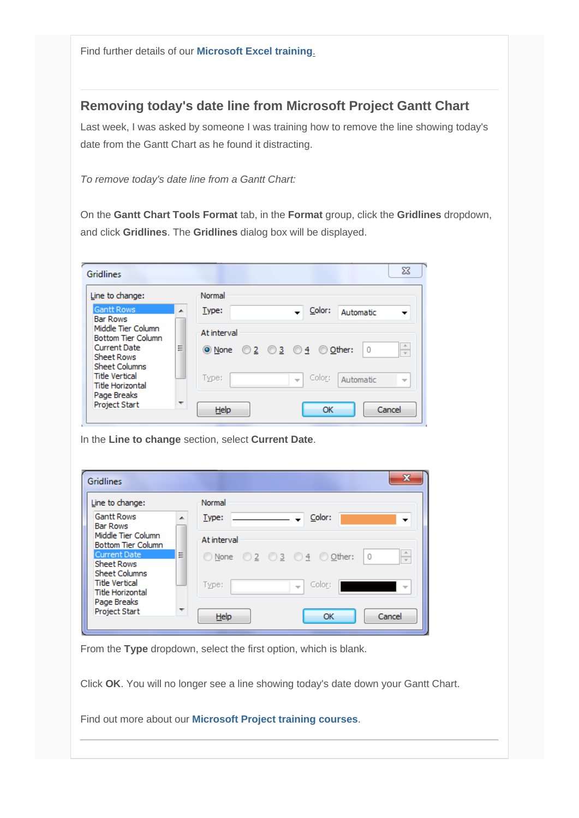Find further details of our **[Microsoft Excel training](http://www.archwayct.co.uk/microsoft-office-training/microsoft-excel-training)**.

# **Removing today's date line from Microsoft Project Gantt Chart**

Last week, I was asked by someone I was training how to remove the line showing today's date from the Gantt Chart as he found it distracting.

*To remove today's date line from a Gantt Chart:*

On the **Gantt Chart Tools Format** tab, in the **Format** group, click the **Gridlines** dropdown, and click **Gridlines**. The **Gridlines** dialog box will be displayed.

| <b>Gridlines</b>                                                                                                                                                |                          |                                                                                                                               | $\Sigma$                                                  |
|-----------------------------------------------------------------------------------------------------------------------------------------------------------------|--------------------------|-------------------------------------------------------------------------------------------------------------------------------|-----------------------------------------------------------|
| Line to change:<br><b>Gantt Rows</b>                                                                                                                            |                          | Normal                                                                                                                        |                                                           |
| <b>Bar Rows</b><br>Middle Tier Column<br><b>Bottom Tier Column</b><br><b>Current Date</b><br><b>Sheet Rows</b><br><b>Sheet Columns</b><br><b>Title Vertical</b> | ᆂ<br>Ξ                   | Color:<br>Type:<br>Automatic<br>At interval<br><b>◎</b> None ◎ 2 ◎ 3 ◎ 4 ◎ Other:<br>$\Omega$<br>Color:<br>Type:<br>Automatic | A.<br>$\overline{\mathbf{v}}$<br>$\overline{\phantom{a}}$ |
| <b>Title Horizontal</b><br>Page Breaks<br><b>Project Start</b>                                                                                                  | $\overline{\phantom{a}}$ | Help<br>OK                                                                                                                    | Cancel                                                    |

In the **Line to change** section, select **Current Date**.

| Line to change:                                                                               | Normal                           |                                   |
|-----------------------------------------------------------------------------------------------|----------------------------------|-----------------------------------|
| <b>Gantt Rows</b>                                                                             | Type:<br>ᆂ                       | Color:<br>▼                       |
| <b>Bar Rows</b><br>Middle Tier Column<br><b>Bottom Tier Column</b>                            | At interval                      |                                   |
| <b>Current Date</b><br>Ξ                                                                      | © None © 2 © 3 © 4 © Other:      | $\Lambda$<br>$\overline{0}$<br>V  |
| <b>Sheet Rows</b><br><b>Sheet Columns</b><br><b>Title Vertical</b><br><b>Title Horizontal</b> | Type:<br>$\sim$                  | Color:<br>$\overline{\mathbf{v}}$ |
| Page Breaks<br><b>Project Start</b>                                                           | $\overline{\phantom{a}}$<br>Help | Cancel<br>OK                      |

From the **Type** dropdown, select the first option, which is blank.

Click **OK**. You will no longer see a line showing today's date down your Gantt Chart.

Find out more about our **[Microsoft Project training courses](http://www.archwayct.co.uk/it-training/microsoft-project-training)**.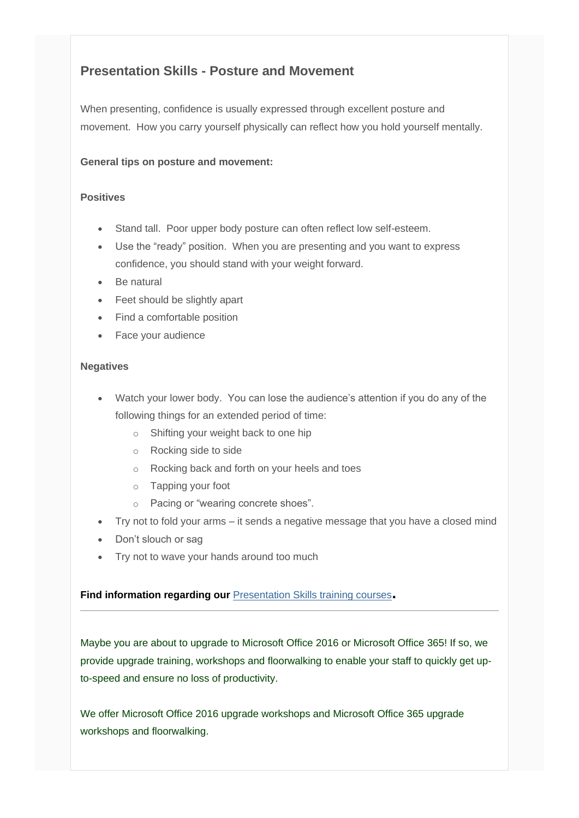# **Presentation Skills - Posture and Movement**

When presenting, confidence is usually expressed through excellent posture and movement. How you carry yourself physically can reflect how you hold yourself mentally.

### **General tips on posture and movement:**

### **Positives**

- Stand tall. Poor upper body posture can often reflect low self-esteem.
- Use the "ready" position. When you are presenting and you want to express confidence, you should stand with your weight forward.
- Be natural
- Feet should be slightly apart
- Find a comfortable position
- Face your audience

#### **Negatives**

- Watch your lower body. You can lose the audience's attention if you do any of the following things for an extended period of time:
	- o Shifting your weight back to one hip
	- o Rocking side to side
	- o Rocking back and forth on your heels and toes
	- o Tapping your foot
	- o Pacing or "wearing concrete shoes".
- Try not to fold your arms it sends a negative message that you have a closed mind
- Don't slouch or sag
- Try not to wave your hands around too much

### **Find information regarding our** [Presentation Skills training courses](http://www.archwayct.co.uk/professional-development-training/presentation-skills-training)**.**

Maybe you are about to upgrade to Microsoft Office 2016 or Microsoft Office 365! If so, we provide upgrade training, workshops and floorwalking to enable your staff to quickly get upto-speed and ensure no loss of productivity.

We offer Microsoft Office 2016 upgrade workshops and Microsoft Office 365 upgrade workshops and floorwalking.